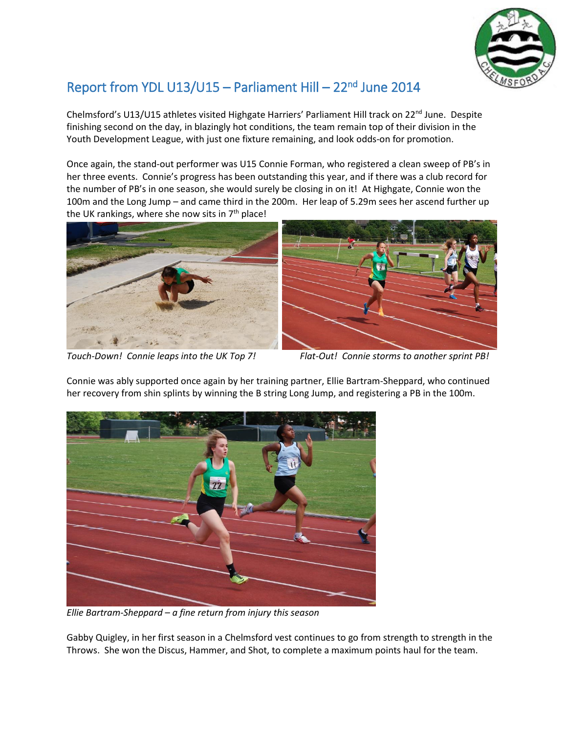

## Report from YDL U13/U15 - Parliament Hill - 22<sup>nd</sup> June 2014

Chelmsford's U13/U15 athletes visited Highgate Harriers' Parliament Hill track on 22<sup>nd</sup> June. Despite finishing second on the day, in blazingly hot conditions, the team remain top of their division in the Youth Development League, with just one fixture remaining, and look odds-on for promotion.

Once again, the stand-out performer was U15 Connie Forman, who registered a clean sweep of PB's in her three events. Connie's progress has been outstanding this year, and if there was a club record for the number of PB's in one season, she would surely be closing in on it! At Highgate, Connie won the 100m and the Long Jump – and came third in the 200m. Her leap of 5.29m sees her ascend further up the UK rankings, where she now sits in  $7<sup>th</sup>$  place!





*Touch-Down! Connie leaps into the UK Top 7! Flat-Out! Connie storms to another sprint PB!*



Connie was ably supported once again by her training partner, Ellie Bartram-Sheppard, who continued her recovery from shin splints by winning the B string Long Jump, and registering a PB in the 100m.

*Ellie Bartram-Sheppard – a fine return from injury this season*

Gabby Quigley, in her first season in a Chelmsford vest continues to go from strength to strength in the Throws. She won the Discus, Hammer, and Shot, to complete a maximum points haul for the team.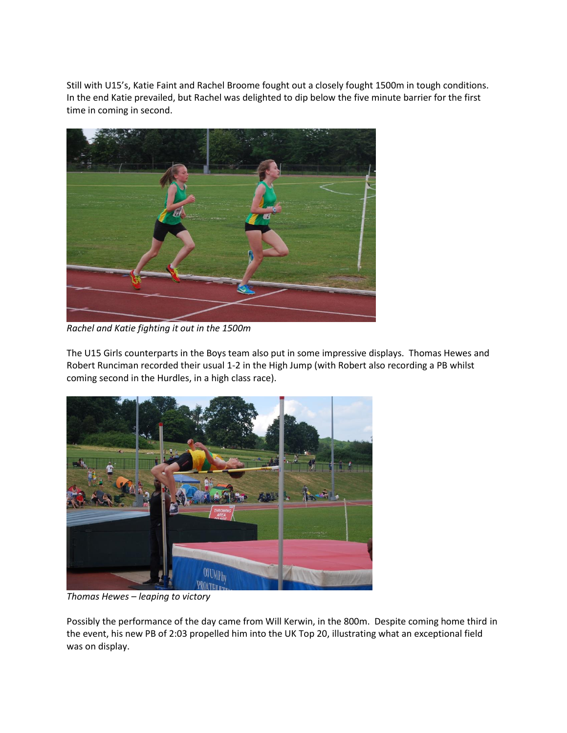Still with U15's, Katie Faint and Rachel Broome fought out a closely fought 1500m in tough conditions. In the end Katie prevailed, but Rachel was delighted to dip below the five minute barrier for the first time in coming in second.



*Rachel and Katie fighting it out in the 1500m*

The U15 Girls counterparts in the Boys team also put in some impressive displays. Thomas Hewes and Robert Runciman recorded their usual 1-2 in the High Jump (with Robert also recording a PB whilst coming second in the Hurdles, in a high class race).



*Thomas Hewes – leaping to victory*

Possibly the performance of the day came from Will Kerwin, in the 800m. Despite coming home third in the event, his new PB of 2:03 propelled him into the UK Top 20, illustrating what an exceptional field was on display.